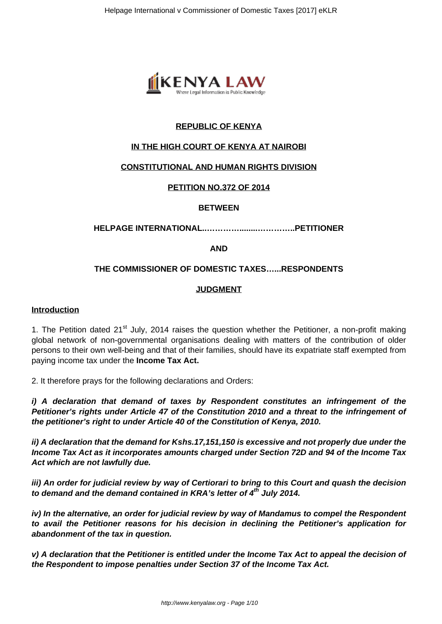

## **REPUBLIC OF KENYA**

## **IN THE HIGH COURT OF KENYA AT NAIROBI**

## **CONSTITUTIONAL AND HUMAN RIGHTS DIVISION**

## **PETITION NO.372 OF 2014**

## **BETWEEN**

## **HELPAGE INTERNATIONAL..…………........…………..PETITIONER**

**AND**

## **THE COMMISSIONER OF DOMESTIC TAXES…...RESPONDENTS**

## **JUDGMENT**

#### **Introduction**

1. The Petition dated 21<sup>st</sup> July, 2014 raises the question whether the Petitioner, a non-profit making global network of non-governmental organisations dealing with matters of the contribution of older persons to their own well-being and that of their families, should have its expatriate staff exempted from paying income tax under the **Income Tax Act.**

2. It therefore prays for the following declarations and Orders:

**i) A declaration that demand of taxes by Respondent constitutes an infringement of the Petitioner's rights under Article 47 of the Constitution 2010 and a threat to the infringement of the petitioner's right to under Article 40 of the Constitution of Kenya, 2010.**

**ii) A declaration that the demand for Kshs.17,151,150 is excessive and not properly due under the Income Tax Act as it incorporates amounts charged under Section 72D and 94 of the Income Tax Act which are not lawfully due.**

**iii) An order for judicial review by way of Certiorari to bring to this Court and quash the decision to demand and the demand contained in KRA's letter of 4th July 2014.**

**iv) In the alternative, an order for judicial review by way of Mandamus to compel the Respondent to avail the Petitioner reasons for his decision in declining the Petitioner's application for abandonment of the tax in question.**

**v) A declaration that the Petitioner is entitled under the Income Tax Act to appeal the decision of the Respondent to impose penalties under Section 37 of the Income Tax Act.**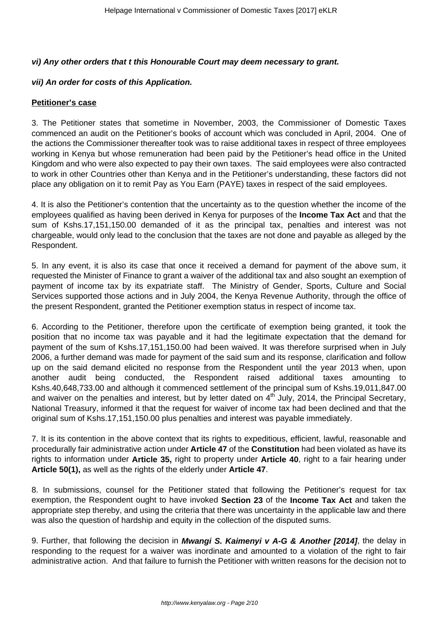## **vi) Any other orders that t this Honourable Court may deem necessary to grant.**

# **vii) An order for costs of this Application.**

# **Petitioner's case**

3. The Petitioner states that sometime in November, 2003, the Commissioner of Domestic Taxes commenced an audit on the Petitioner's books of account which was concluded in April, 2004. One of the actions the Commissioner thereafter took was to raise additional taxes in respect of three employees working in Kenya but whose remuneration had been paid by the Petitioner's head office in the United Kingdom and who were also expected to pay their own taxes. The said employees were also contracted to work in other Countries other than Kenya and in the Petitioner's understanding, these factors did not place any obligation on it to remit Pay as You Earn (PAYE) taxes in respect of the said employees.

4. It is also the Petitioner's contention that the uncertainty as to the question whether the income of the employees qualified as having been derived in Kenya for purposes of the **Income Tax Act** and that the sum of Kshs.17,151,150.00 demanded of it as the principal tax, penalties and interest was not chargeable, would only lead to the conclusion that the taxes are not done and payable as alleged by the Respondent.

5. In any event, it is also its case that once it received a demand for payment of the above sum, it requested the Minister of Finance to grant a waiver of the additional tax and also sought an exemption of payment of income tax by its expatriate staff. The Ministry of Gender, Sports, Culture and Social Services supported those actions and in July 2004, the Kenya Revenue Authority, through the office of the present Respondent, granted the Petitioner exemption status in respect of income tax.

6. According to the Petitioner, therefore upon the certificate of exemption being granted, it took the position that no income tax was payable and it had the legitimate expectation that the demand for payment of the sum of Kshs.17,151,150.00 had been waived. It was therefore surprised when in July 2006, a further demand was made for payment of the said sum and its response, clarification and follow up on the said demand elicited no response from the Respondent until the year 2013 when, upon another audit being conducted, the Respondent raised additional taxes amounting to Kshs.40,648,733.00 and although it commenced settlement of the principal sum of Kshs.19,011,847.00 and waiver on the penalties and interest, but by letter dated on  $4<sup>th</sup>$  July, 2014, the Principal Secretary, National Treasury, informed it that the request for waiver of income tax had been declined and that the original sum of Kshs.17,151,150.00 plus penalties and interest was payable immediately.

7. It is its contention in the above context that its rights to expeditious, efficient, lawful, reasonable and procedurally fair administrative action under **Article 47** of the **Constitution** had been violated as have its rights to information under **Article 35,** right to property under **Article 40**, right to a fair hearing under **Article 50(1),** as well as the rights of the elderly under **Article 47**.

8. In submissions, counsel for the Petitioner stated that following the Petitioner's request for tax exemption, the Respondent ought to have invoked **Section 23** of the **Income Tax Act** and taken the appropriate step thereby, and using the criteria that there was uncertainty in the applicable law and there was also the question of hardship and equity in the collection of the disputed sums.

9. Further, that following the decision in **Mwangi S. Kaimenyi v A-G & Another [2014]**, the delay in responding to the request for a waiver was inordinate and amounted to a violation of the right to fair administrative action. And that failure to furnish the Petitioner with written reasons for the decision not to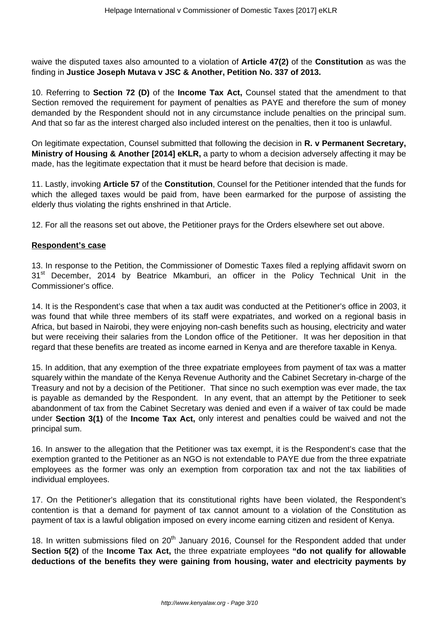waive the disputed taxes also amounted to a violation of **Article 47(2)** of the **Constitution** as was the finding in **Justice Joseph Mutava v JSC & Another, Petition No. 337 of 2013.**

10. Referring to **Section 72 (D)** of the **Income Tax Act,** Counsel stated that the amendment to that Section removed the requirement for payment of penalties as PAYE and therefore the sum of money demanded by the Respondent should not in any circumstance include penalties on the principal sum. And that so far as the interest charged also included interest on the penalties, then it too is unlawful.

On legitimate expectation, Counsel submitted that following the decision in **R. v Permanent Secretary, Ministry of Housing & Another [2014] eKLR,** a party to whom a decision adversely affecting it may be made, has the legitimate expectation that it must be heard before that decision is made.

11. Lastly, invoking **Article 57** of the **Constitution**, Counsel for the Petitioner intended that the funds for which the alleged taxes would be paid from, have been earmarked for the purpose of assisting the elderly thus violating the rights enshrined in that Article.

12. For all the reasons set out above, the Petitioner prays for the Orders elsewhere set out above.

## **Respondent's case**

13. In response to the Petition, the Commissioner of Domestic Taxes filed a replying affidavit sworn on 31<sup>st</sup> December, 2014 by Beatrice Mkamburi, an officer in the Policy Technical Unit in the Commissioner's office.

14. It is the Respondent's case that when a tax audit was conducted at the Petitioner's office in 2003, it was found that while three members of its staff were expatriates, and worked on a regional basis in Africa, but based in Nairobi, they were enjoying non-cash benefits such as housing, electricity and water but were receiving their salaries from the London office of the Petitioner. It was her deposition in that regard that these benefits are treated as income earned in Kenya and are therefore taxable in Kenya.

15. In addition, that any exemption of the three expatriate employees from payment of tax was a matter squarely within the mandate of the Kenya Revenue Authority and the Cabinet Secretary in-charge of the Treasury and not by a decision of the Petitioner. That since no such exemption was ever made, the tax is payable as demanded by the Respondent. In any event, that an attempt by the Petitioner to seek abandonment of tax from the Cabinet Secretary was denied and even if a waiver of tax could be made under **Section 3(1)** of the **Income Tax Act,** only interest and penalties could be waived and not the principal sum.

16. In answer to the allegation that the Petitioner was tax exempt, it is the Respondent's case that the exemption granted to the Petitioner as an NGO is not extendable to PAYE due from the three expatriate employees as the former was only an exemption from corporation tax and not the tax liabilities of individual employees.

17. On the Petitioner's allegation that its constitutional rights have been violated, the Respondent's contention is that a demand for payment of tax cannot amount to a violation of the Constitution as payment of tax is a lawful obligation imposed on every income earning citizen and resident of Kenya.

18. In written submissions filed on 20<sup>th</sup> January 2016, Counsel for the Respondent added that under **Section 5(2)** of the **Income Tax Act,** the three expatriate employees **"do not qualify for allowable deductions of the benefits they were gaining from housing, water and electricity payments by**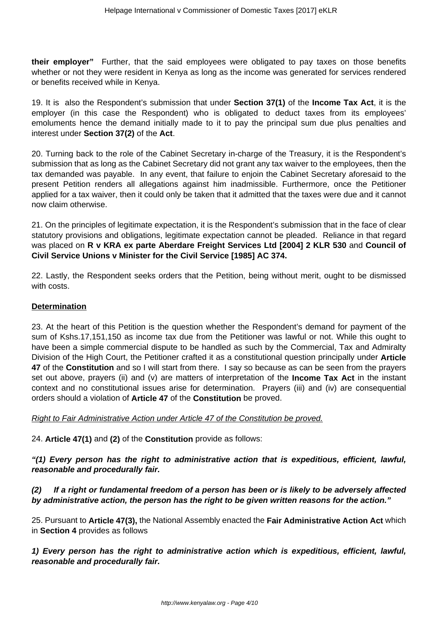**their employer"** Further, that the said employees were obligated to pay taxes on those benefits whether or not they were resident in Kenya as long as the income was generated for services rendered or benefits received while in Kenya.

19. It is also the Respondent's submission that under **Section 37(1)** of the **Income Tax Act**, it is the employer (in this case the Respondent) who is obligated to deduct taxes from its employees' emoluments hence the demand initially made to it to pay the principal sum due plus penalties and interest under **Section 37(2)** of the **Act**.

20. Turning back to the role of the Cabinet Secretary in-charge of the Treasury, it is the Respondent's submission that as long as the Cabinet Secretary did not grant any tax waiver to the employees, then the tax demanded was payable. In any event, that failure to enjoin the Cabinet Secretary aforesaid to the present Petition renders all allegations against him inadmissible. Furthermore, once the Petitioner applied for a tax waiver, then it could only be taken that it admitted that the taxes were due and it cannot now claim otherwise.

21. On the principles of legitimate expectation, it is the Respondent's submission that in the face of clear statutory provisions and obligations, legitimate expectation cannot be pleaded. Reliance in that regard was placed on **R v KRA ex parte Aberdare Freight Services Ltd [2004] 2 KLR 530** and **Council of Civil Service Unions v Minister for the Civil Service [1985] AC 374.**

22. Lastly, the Respondent seeks orders that the Petition, being without merit, ought to be dismissed with costs.

## **Determination**

23. At the heart of this Petition is the question whether the Respondent's demand for payment of the sum of Kshs.17,151,150 as income tax due from the Petitioner was lawful or not. While this ought to have been a simple commercial dispute to be handled as such by the Commercial, Tax and Admiralty Division of the High Court, the Petitioner crafted it as a constitutional question principally under **Article 47** of the **Constitution** and so I will start from there. I say so because as can be seen from the prayers set out above, prayers (ii) and (v) are matters of interpretation of the **Income Tax Act** in the instant context and no constitutional issues arise for determination. Prayers (iii) and (iv) are consequential orders should a violation of **Article 47** of the **Constitution** be proved.

#### Right to Fair Administrative Action under Article 47 of the Constitution be proved.

24. **Article 47(1)** and **(2)** of the **Constitution** provide as follows:

**"(1) Every person has the right to administrative action that is expeditious, efficient, lawful, reasonable and procedurally fair.**

## **(2) If a right or fundamental freedom of a person has been or is likely to be adversely affected by administrative action, the person has the right to be given written reasons for the action."**

25. Pursuant to **Article 47(3),** the National Assembly enacted the **Fair Administrative Action Act** which in **Section 4** provides as follows

**1) Every person has the right to administrative action which is expeditious, efficient, lawful, reasonable and procedurally fair.**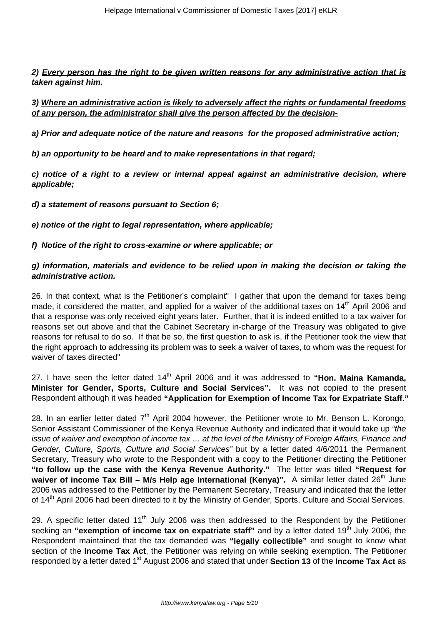**2) Every person has the right to be given written reasons for any administrative action that is taken against him.**

**3) Where an administrative action is likely to adversely affect the rights or fundamental freedoms of any person, the administrator shall give the person affected by the decision-**

**a) Prior and adequate notice of the nature and reasons for the proposed administrative action;**

**b) an opportunity to be heard and to make representations in that regard;**

**c) notice of a right to a review or internal appeal against an administrative decision, where applicable;**

**d) a statement of reasons pursuant to Section 6;**

**e) notice of the right to legal representation, where applicable;**

**f) Notice of the right to cross-examine or where applicable; or**

## **g) information, materials and evidence to be relied upon in making the decision or taking the administrative action.**

26. In that context, what is the Petitioner's complaint" I gather that upon the demand for taxes being made, it considered the matter, and applied for a waiver of the additional taxes on 14<sup>th</sup> April 2006 and that a response was only received eight years later. Further, that it is indeed entitled to a tax waiver for reasons set out above and that the Cabinet Secretary in-charge of the Treasury was obligated to give reasons for refusal to do so. If that be so, the first question to ask is, if the Petitioner took the view that the right approach to addressing its problem was to seek a waiver of taxes, to whom was the request for waiver of taxes directed"

27. I have seen the letter dated 14th April 2006 and it was addressed to **"Hon. Maina Kamanda, Minister for Gender, Sports, Culture and Social Services".** It was not copied to the present Respondent although it was headed **"Application for Exemption of Income Tax for Expatriate Staff."**

28. In an earlier letter dated  $7<sup>th</sup>$  April 2004 however, the Petitioner wrote to Mr. Benson L. Korongo, Senior Assistant Commissioner of the Kenya Revenue Authority and indicated that it would take up "the issue of waiver and exemption of income tax … at the level of the Ministry of Foreign Affairs, Finance and Gender, Culture, Sports, Culture and Social Services" but by a letter dated 4/6/2011 the Permanent Secretary, Treasury who wrote to the Respondent with a copy to the Petitioner directing the Petitioner **"to follow up the case with the Kenya Revenue Authority."** The letter was titled **"Request for waiver of income Tax Bill – M/s Help age International (Kenya)".** A similar letter dated 26<sup>th</sup> June 2006 was addressed to the Petitioner by the Permanent Secretary, Treasury and indicated that the letter of 14<sup>th</sup> April 2006 had been directed to it by the Ministry of Gender, Sports, Culture and Social Services.

29. A specific letter dated  $11<sup>th</sup>$  July 2006 was then addressed to the Respondent by the Petitioner seeking an "exemption of income tax on expatriate staff" and by a letter dated 19<sup>th</sup> July 2006, the Respondent maintained that the tax demanded was **"legally collectible"** and sought to know what section of the **Income Tax Act**, the Petitioner was relying on while seeking exemption. The Petitioner responded by a letter dated 1<sup>st</sup> August 2006 and stated that under **Section 13** of the **Income Tax Act** as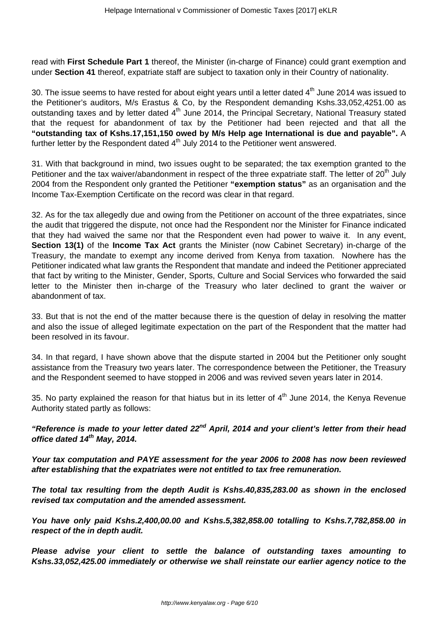read with **First Schedule Part 1** thereof, the Minister (in-charge of Finance) could grant exemption and under **Section 41** thereof, expatriate staff are subject to taxation only in their Country of nationality.

30. The issue seems to have rested for about eight years until a letter dated  $4<sup>th</sup>$  June 2014 was issued to the Petitioner's auditors, M/s Erastus & Co, by the Respondent demanding Kshs.33,052,4251.00 as outstanding taxes and by letter dated 4<sup>th</sup> June 2014, the Principal Secretary, National Treasury stated that the request for abandonment of tax by the Petitioner had been rejected and that all the **"outstanding tax of Kshs.17,151,150 owed by M/s Help age International is due and payable".** A further letter by the Respondent dated 4<sup>th</sup> July 2014 to the Petitioner went answered.

31. With that background in mind, two issues ought to be separated; the tax exemption granted to the Petitioner and the tax waiver/abandonment in respect of the three expatriate staff. The letter of 20<sup>th</sup> July 2004 from the Respondent only granted the Petitioner **"exemption status"** as an organisation and the Income Tax-Exemption Certificate on the record was clear in that regard.

32. As for the tax allegedly due and owing from the Petitioner on account of the three expatriates, since the audit that triggered the dispute, not once had the Respondent nor the Minister for Finance indicated that they had waived the same nor that the Respondent even had power to waive it. In any event, **Section 13(1)** of the **Income Tax Act** grants the Minister (now Cabinet Secretary) in-charge of the Treasury, the mandate to exempt any income derived from Kenya from taxation. Nowhere has the Petitioner indicated what law grants the Respondent that mandate and indeed the Petitioner appreciated that fact by writing to the Minister, Gender, Sports, Culture and Social Services who forwarded the said letter to the Minister then in-charge of the Treasury who later declined to grant the waiver or abandonment of tax.

33. But that is not the end of the matter because there is the question of delay in resolving the matter and also the issue of alleged legitimate expectation on the part of the Respondent that the matter had been resolved in its favour.

34. In that regard, I have shown above that the dispute started in 2004 but the Petitioner only sought assistance from the Treasury two years later. The correspondence between the Petitioner, the Treasury and the Respondent seemed to have stopped in 2006 and was revived seven years later in 2014.

35. No party explained the reason for that hiatus but in its letter of  $4<sup>th</sup>$  June 2014, the Kenya Revenue Authority stated partly as follows:

**"Reference is made to your letter dated 22nd April, 2014 and your client's letter from their head office dated 14th May, 2014.**

**Your tax computation and PAYE assessment for the year 2006 to 2008 has now been reviewed after establishing that the expatriates were not entitled to tax free remuneration.**

**The total tax resulting from the depth Audit is Kshs.40,835,283.00 as shown in the enclosed revised tax computation and the amended assessment.**

**You have only paid Kshs.2,400,00.00 and Kshs.5,382,858.00 totalling to Kshs.7,782,858.00 in respect of the in depth audit.**

**Please advise your client to settle the balance of outstanding taxes amounting to Kshs.33,052,425.00 immediately or otherwise we shall reinstate our earlier agency notice to the**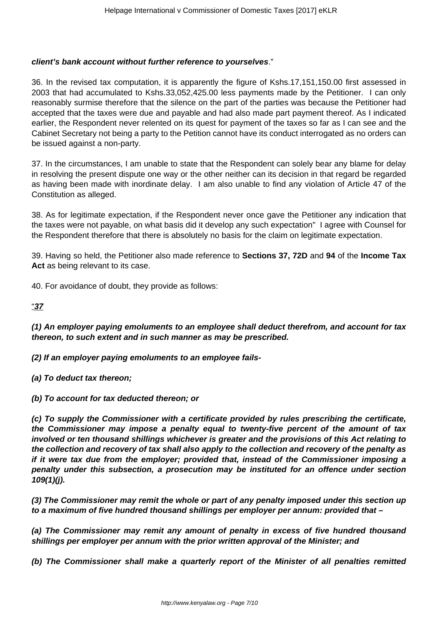## **client's bank account without further reference to yourselves**."

36. In the revised tax computation, it is apparently the figure of Kshs.17,151,150.00 first assessed in 2003 that had accumulated to Kshs.33,052,425.00 less payments made by the Petitioner. I can only reasonably surmise therefore that the silence on the part of the parties was because the Petitioner had accepted that the taxes were due and payable and had also made part payment thereof. As I indicated earlier, the Respondent never relented on its quest for payment of the taxes so far as I can see and the Cabinet Secretary not being a party to the Petition cannot have its conduct interrogated as no orders can be issued against a non-party.

37. In the circumstances, I am unable to state that the Respondent can solely bear any blame for delay in resolving the present dispute one way or the other neither can its decision in that regard be regarded as having been made with inordinate delay. I am also unable to find any violation of Article 47 of the Constitution as alleged.

38. As for legitimate expectation, if the Respondent never once gave the Petitioner any indication that the taxes were not payable, on what basis did it develop any such expectation" I agree with Counsel for the Respondent therefore that there is absolutely no basis for the claim on legitimate expectation.

39. Having so held, the Petitioner also made reference to **Sections 37, 72D** and **94** of the **Income Tax** Act as being relevant to its case.

40. For avoidance of doubt, they provide as follows:

"**37**

**(1) An employer paying emoluments to an employee shall deduct therefrom, and account for tax thereon, to such extent and in such manner as may be prescribed.**

**(2) If an employer paying emoluments to an employee fails-**

**(a) To deduct tax thereon;**

**(b) To account for tax deducted thereon; or**

**(c) To supply the Commissioner with a certificate provided by rules prescribing the certificate, the Commissioner may impose a penalty equal to twenty-five percent of the amount of tax involved or ten thousand shillings whichever is greater and the provisions of this Act relating to the collection and recovery of tax shall also apply to the collection and recovery of the penalty as if it were tax due from the employer; provided that, instead of the Commissioner imposing a penalty under this subsection, a prosecution may be instituted for an offence under section 109(1)(j).**

**(3) The Commissioner may remit the whole or part of any penalty imposed under this section up to a maximum of five hundred thousand shillings per employer per annum: provided that –**

**(a) The Commissioner may remit any amount of penalty in excess of five hundred thousand shillings per employer per annum with the prior written approval of the Minister; and** 

**(b) The Commissioner shall make a quarterly report of the Minister of all penalties remitted**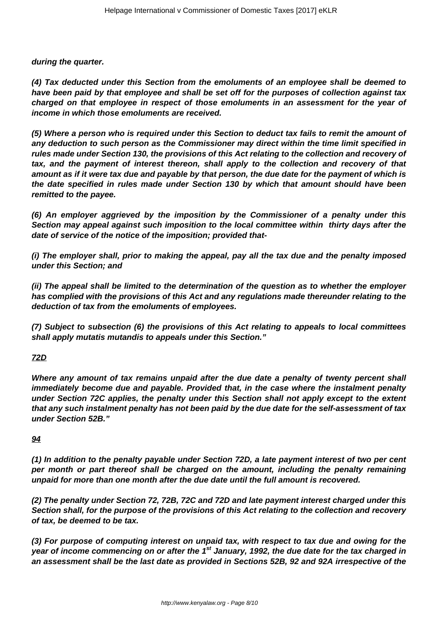**during the quarter.**

**(4) Tax deducted under this Section from the emoluments of an employee shall be deemed to have been paid by that employee and shall be set off for the purposes of collection against tax charged on that employee in respect of those emoluments in an assessment for the year of income in which those emoluments are received.**

**(5) Where a person who is required under this Section to deduct tax fails to remit the amount of any deduction to such person as the Commissioner may direct within the time limit specified in rules made under Section 130, the provisions of this Act relating to the collection and recovery of tax, and the payment of interest thereon, shall apply to the collection and recovery of that amount as if it were tax due and payable by that person, the due date for the payment of which is the date specified in rules made under Section 130 by which that amount should have been remitted to the payee.**

**(6) An employer aggrieved by the imposition by the Commissioner of a penalty under this Section may appeal against such imposition to the local committee within thirty days after the date of service of the notice of the imposition; provided that-**

**(i) The employer shall, prior to making the appeal, pay all the tax due and the penalty imposed under this Section; and**

**(ii) The appeal shall be limited to the determination of the question as to whether the employer has complied with the provisions of this Act and any regulations made thereunder relating to the deduction of tax from the emoluments of employees.**

**(7) Subject to subsection (6) the provisions of this Act relating to appeals to local committees shall apply mutatis mutandis to appeals under this Section."**

**72D**

**Where any amount of tax remains unpaid after the due date a penalty of twenty percent shall immediately become due and payable. Provided that, in the case where the instalment penalty under Section 72C applies, the penalty under this Section shall not apply except to the extent that any such instalment penalty has not been paid by the due date for the self-assessment of tax under Section 52B."**

## **94**

**(1) In addition to the penalty payable under Section 72D, a late payment interest of two per cent per month or part thereof shall be charged on the amount, including the penalty remaining unpaid for more than one month after the due date until the full amount is recovered.**

**(2) The penalty under Section 72, 72B, 72C and 72D and late payment interest charged under this Section shall, for the purpose of the provisions of this Act relating to the collection and recovery of tax, be deemed to be tax.**

**(3) For purpose of computing interest on unpaid tax, with respect to tax due and owing for the year of income commencing on or after the 1st January, 1992, the due date for the tax charged in an assessment shall be the last date as provided in Sections 52B, 92 and 92A irrespective of the**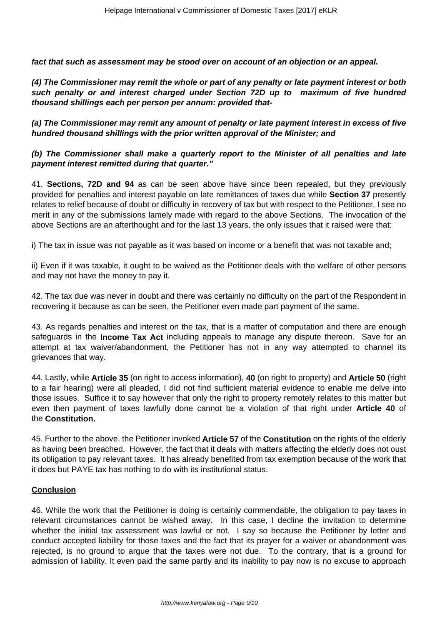**fact that such as assessment may be stood over on account of an objection or an appeal.**

**(4) The Commissioner may remit the whole or part of any penalty or late payment interest or both such penalty or and interest charged under Section 72D up to maximum of five hundred thousand shillings each per person per annum: provided that-**

**(a) The Commissioner may remit any amount of penalty or late payment interest in excess of five hundred thousand shillings with the prior written approval of the Minister; and** 

## **(b) The Commissioner shall make a quarterly report to the Minister of all penalties and late payment interest remitted during that quarter."**

41. **Sections, 72D and 94** as can be seen above have since been repealed, but they previously provided for penalties and interest payable on late remittances of taxes due while **Section 37** presently relates to relief because of doubt or difficulty in recovery of tax but with respect to the Petitioner, I see no merit in any of the submissions lamely made with regard to the above Sections. The invocation of the above Sections are an afterthought and for the last 13 years, the only issues that it raised were that:

i) The tax in issue was not payable as it was based on income or a benefit that was not taxable and;

ii) Even if it was taxable, it ought to be waived as the Petitioner deals with the welfare of other persons and may not have the money to pay it.

42. The tax due was never in doubt and there was certainly no difficulty on the part of the Respondent in recovering it because as can be seen, the Petitioner even made part payment of the same.

43. As regards penalties and interest on the tax, that is a matter of computation and there are enough safeguards in the **Income Tax Act** including appeals to manage any dispute thereon. Save for an attempt at tax waiver/abandonment, the Petitioner has not in any way attempted to channel its grievances that way.

44. Lastly, while **Article 35** (on right to access information), **40** (on right to property) and **Article 50** (right to a fair hearing) were all pleaded, I did not find sufficient material evidence to enable me delve into those issues. Suffice it to say however that only the right to property remotely relates to this matter but even then payment of taxes lawfully done cannot be a violation of that right under **Article 40** of the **Constitution.**

45. Further to the above, the Petitioner invoked **Article 57** of the **Constitution** on the rights of the elderly as having been breached. However, the fact that it deals with matters affecting the elderly does not oust its obligation to pay relevant taxes. It has already benefited from tax exemption because of the work that it does but PAYE tax has nothing to do with its institutional status.

## **Conclusion**

46. While the work that the Petitioner is doing is certainly commendable, the obligation to pay taxes in relevant circumstances cannot be wished away. In this case, I decline the invitation to determine whether the initial tax assessment was lawful or not. I say so because the Petitioner by letter and conduct accepted liability for those taxes and the fact that its prayer for a waiver or abandonment was rejected, is no ground to argue that the taxes were not due. To the contrary, that is a ground for admission of liability. It even paid the same partly and its inability to pay now is no excuse to approach